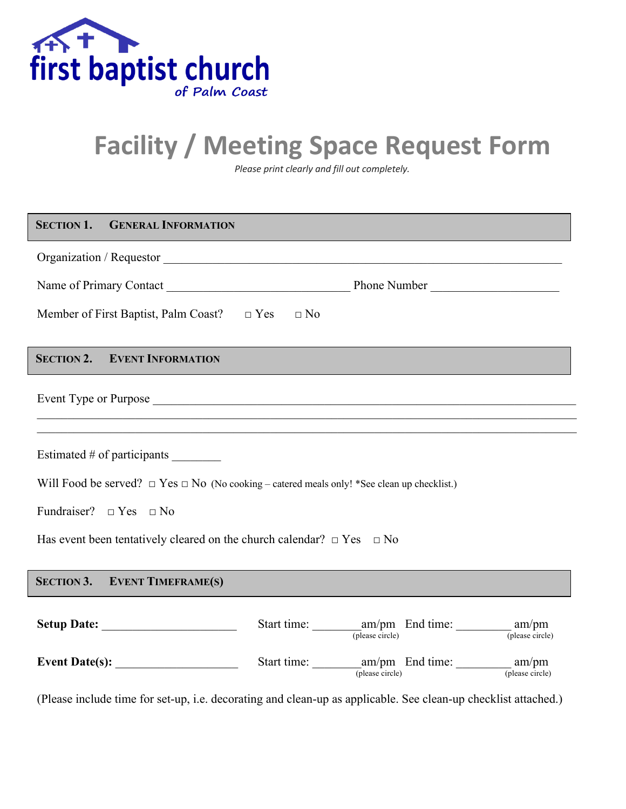

# **Facility / Meeting Space Request Form**

*Please print clearly and fill out completely.*

| <b>SECTION 1. GENERAL INFORMATION</b>                                                                 |                       |
|-------------------------------------------------------------------------------------------------------|-----------------------|
|                                                                                                       |                       |
|                                                                                                       |                       |
| Member of First Baptist, Palm Coast? $\Box$ Yes $\Box$ No                                             |                       |
| <b>SECTION 2. EVENT INFORMATION</b>                                                                   |                       |
|                                                                                                       |                       |
|                                                                                                       |                       |
| Estimated # of participants ________                                                                  |                       |
| Will Food be served? $\Box$ Yes $\Box$ No (No cooking – catered meals only! *See clean up checklist.) |                       |
| Fundraiser? $\Box$ Yes $\Box$ No                                                                      |                       |
| Has event been tentatively cleared on the church calendar? $\Box$ Yes $\Box$ No                       |                       |
| <b>SECTION 3. EVENT TIMEFRAME(S)</b>                                                                  |                       |
|                                                                                                       |                       |
|                                                                                                       | $(p$ lease circle $)$ |
| Event Date(s): $\qquad \qquad$                                                                        |                       |

(Please include time for set-up, i.e. decorating and clean-up as applicable. See clean-up checklist attached.)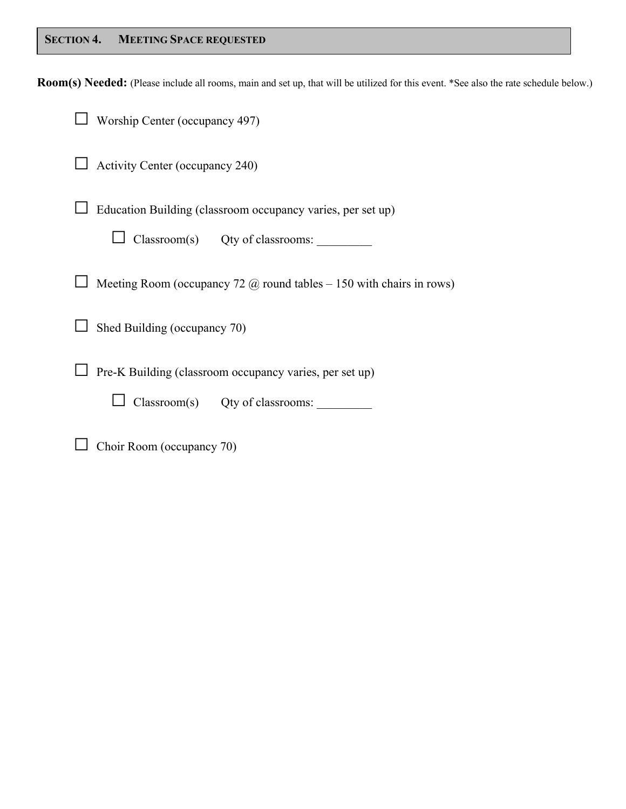# **SECTION 4. MEETING SPACE REQUESTED**

**Room(s) Needed:** (Please include all rooms, main and set up, that will be utilized for this event. \*See also the rate schedule below.)

| Worship Center (occupancy 497)                                                |
|-------------------------------------------------------------------------------|
| Activity Center (occupancy 240)                                               |
| Education Building (classroom occupancy varies, per set up)                   |
| $\text{Classroom}(s)$ Qty of classrooms:                                      |
| Meeting Room (occupancy 72 $\omega$ ) round tables – 150 with chairs in rows) |
| Shed Building (occupancy 70)                                                  |
| Pre-K Building (classroom occupancy varies, per set up)                       |
| Classroom(s) Qty of classrooms:                                               |
|                                                                               |

□ Choir Room (occupancy 70)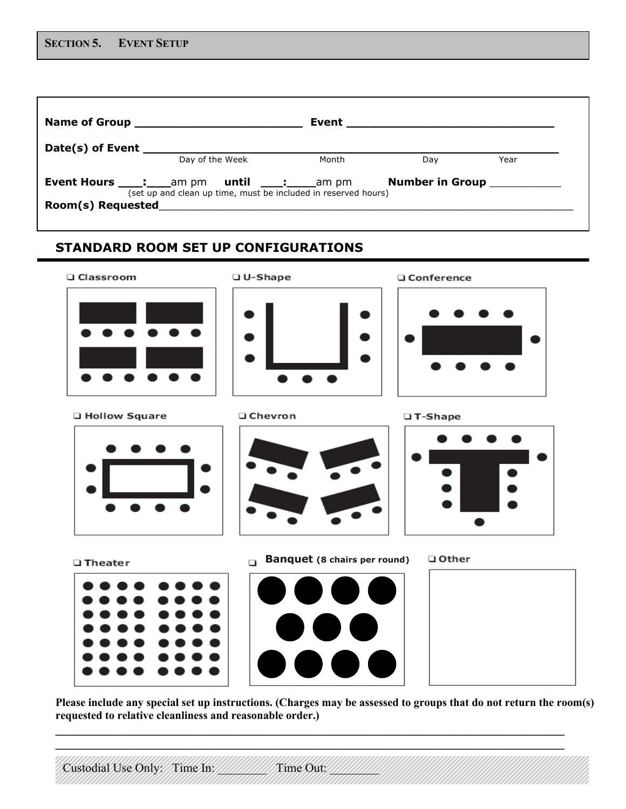| Name of Group <b>Name of Group</b>                                |                 | Event                                                          |                               |      |
|-------------------------------------------------------------------|-----------------|----------------------------------------------------------------|-------------------------------|------|
| Date(s) of Event                                                  |                 |                                                                |                               |      |
|                                                                   | Day of the Week | Month                                                          | Day                           | Year |
| <b>Event Hours ____: ____</b> am pm <b>until ____: ____</b> am pm |                 | (set up and clean up time, must be included in reserved hours) | Number in Group <b>Number</b> |      |
| Room(s) Requested                                                 |                 |                                                                |                               |      |

# **STANDARD ROOM SET UP CONFIGURATIONS**



**Q** Hollow Square



**Q** Chevron



□ T-Shape

□ Conference



□ Theater



**Banquet (8 chairs per round)** 





**Please include any special set up instructions. (Charges may be assessed to groups that do not return the room(s) requested to relative cleanliness and reasonable order.)**

**\_\_\_\_\_\_\_\_\_\_\_\_\_\_\_\_\_\_\_\_\_\_\_\_\_\_\_\_\_\_\_\_\_\_\_\_\_\_\_\_\_\_\_\_\_\_\_\_\_\_\_\_\_\_\_\_\_\_\_\_\_\_\_\_\_\_\_\_\_\_\_\_\_\_\_\_\_\_\_\_\_\_\_ \_\_\_\_\_\_\_\_\_\_\_\_\_\_\_\_\_\_\_\_\_\_\_\_\_\_\_\_\_\_\_\_\_\_\_\_\_\_\_\_\_\_\_\_\_\_\_\_\_\_\_\_\_\_\_\_\_\_\_\_\_\_\_\_\_\_\_\_\_\_\_\_\_\_\_\_\_\_\_\_\_\_\_**

Custodial Use Only: Time In: Time Out: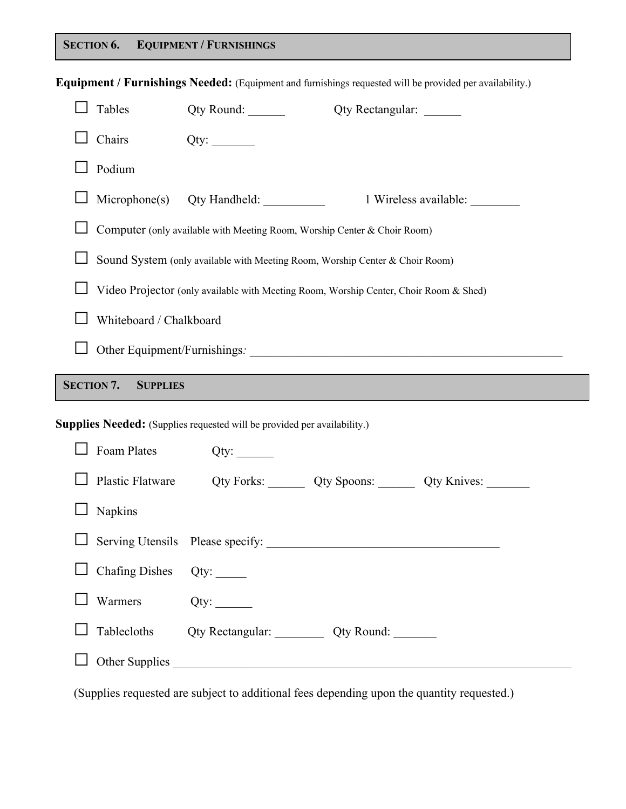# **SECTION 6. EQUIPMENT / FURNISHINGS**

|                |                                      | Equipment / Furnishings Needed: (Equipment and furnishings requested will be provided per availability.) |                  |                       |
|----------------|--------------------------------------|----------------------------------------------------------------------------------------------------------|------------------|-----------------------|
|                | Tables                               |                                                                                                          | Qty Rectangular: |                       |
|                | Chairs                               |                                                                                                          |                  |                       |
|                | Podium                               |                                                                                                          |                  |                       |
|                |                                      |                                                                                                          |                  | 1 Wireless available: |
|                |                                      | Computer (only available with Meeting Room, Worship Center & Choir Room)                                 |                  |                       |
|                |                                      | Sound System (only available with Meeting Room, Worship Center & Choir Room)                             |                  |                       |
|                |                                      | Video Projector (only available with Meeting Room, Worship Center, Choir Room & Shed)                    |                  |                       |
|                | Whiteboard / Chalkboard              |                                                                                                          |                  |                       |
|                |                                      |                                                                                                          |                  |                       |
|                |                                      |                                                                                                          |                  |                       |
|                | <b>SECTION 7.</b><br><b>SUPPLIES</b> |                                                                                                          |                  |                       |
|                |                                      | <b>Supplies Needed:</b> (Supplies requested will be provided per availability.)                          |                  |                       |
|                | Foam Plates                          |                                                                                                          |                  |                       |
|                | Plastic Flatware                     | Qty Forks: Qty Spoons: Qty Knives: ________                                                              |                  |                       |
|                | $\Box$ Napkins                       |                                                                                                          |                  |                       |
| $\blacksquare$ |                                      |                                                                                                          |                  |                       |
|                | $\Box$ Chafing Dishes                |                                                                                                          |                  |                       |
|                | Warmers                              |                                                                                                          |                  |                       |
|                | Tablecloths                          | Qty Rectangular: <u>Qty Round:</u>                                                                       |                  |                       |

(Supplies requested are subject to additional fees depending upon the quantity requested.)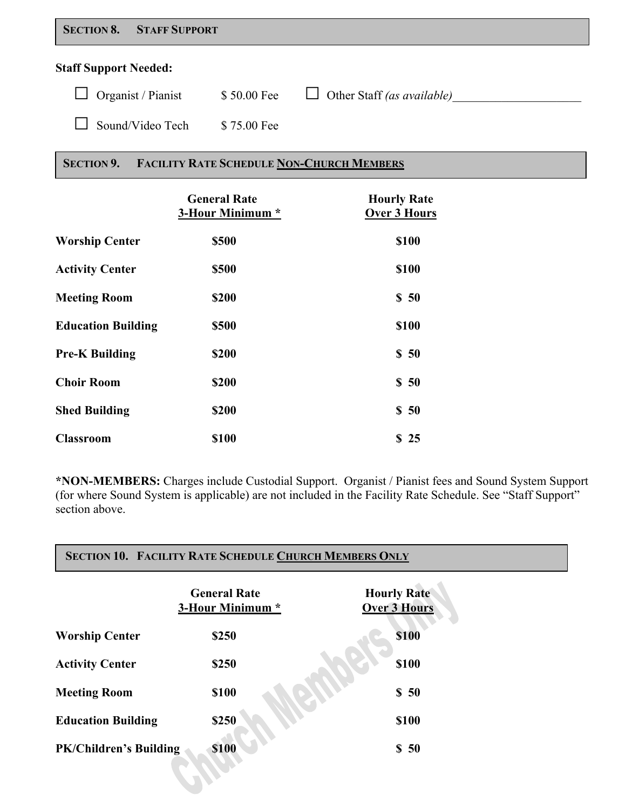| <b>SECTION 8.</b> | <b>STAFF SUPPORT</b> |
|-------------------|----------------------|
|-------------------|----------------------|

## **Staff Support Needed:**

| $\Box$ Organist / Pianist | \$50.00 Fee | Other Staff (as available) |
|---------------------------|-------------|----------------------------|
| $\Box$ Sound/Video Tech   | \$75.00 Fee |                            |

# **SECTION 9. FACILITY RATE SCHEDULE NON-CHURCH MEMBERS**

|                           | <b>General Rate</b><br>3-Hour Minimum * | <b>Hourly Rate</b><br><b>Over 3 Hours</b> |
|---------------------------|-----------------------------------------|-------------------------------------------|
| <b>Worship Center</b>     | \$500                                   | \$100                                     |
| <b>Activity Center</b>    | \$500                                   | \$100                                     |
| <b>Meeting Room</b>       | \$200                                   | \$50                                      |
| <b>Education Building</b> | \$500                                   | \$100                                     |
| <b>Pre-K Building</b>     | \$200                                   | \$50                                      |
| <b>Choir Room</b>         | \$200                                   | \$50                                      |
| <b>Shed Building</b>      | \$200                                   | \$50                                      |
| <b>Classroom</b>          | \$100                                   | \$25                                      |

**\*NON-MEMBERS:** Charges include Custodial Support. Organist / Pianist fees and Sound System Support (for where Sound System is applicable) are not included in the Facility Rate Schedule. See "Staff Support" section above.

|                               | <b>General Rate</b><br>3-Hour Minimum * | <b>Hourly Rate</b><br><b>Over 3 Hours</b> |
|-------------------------------|-----------------------------------------|-------------------------------------------|
| <b>Worship Center</b>         | \$250                                   | <b>\$100</b>                              |
| <b>Activity Center</b>        | \$250                                   | \$100                                     |
| <b>Meeting Room</b>           | \$100                                   | \$50                                      |
| <b>Education Building</b>     | \$250                                   | \$100                                     |
| <b>PK/Children's Building</b> | \$100                                   | \$50                                      |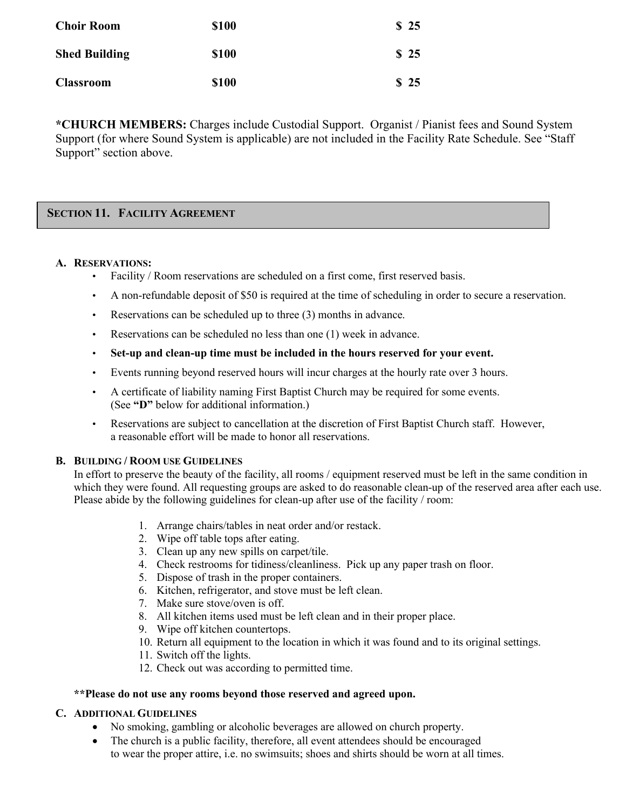| <b>Choir Room</b>    | <b>\$100</b> | \$25 |
|----------------------|--------------|------|
| <b>Shed Building</b> | <b>\$100</b> | \$25 |
| <b>Classroom</b>     | <b>\$100</b> | \$25 |

**\*CHURCH MEMBERS:** Charges include Custodial Support. Organist / Pianist fees and Sound System Support (for where Sound System is applicable) are not included in the Facility Rate Schedule. See "Staff Support" section above.

# **SECTION 11. FACILITY AGREEMENT**

#### **A. RESERVATIONS:**

- Facility / Room reservations are scheduled on a first come, first reserved basis.
- A non-refundable deposit of \$50 is required at the time of scheduling in order to secure a reservation.
- Reservations can be scheduled up to three (3) months in advance.
- Reservations can be scheduled no less than one (1) week in advance.
- **Set-up and clean-up time must be included in the hours reserved for your event.**
- Events running beyond reserved hours will incur charges at the hourly rate over 3 hours.
- A certificate of liability naming First Baptist Church may be required for some events. (See **"D"** below for additional information.)
- Reservations are subject to cancellation at the discretion of First Baptist Church staff. However, a reasonable effort will be made to honor all reservations.

#### **B. BUILDING / ROOM USE GUIDELINES**

In effort to preserve the beauty of the facility, all rooms / equipment reserved must be left in the same condition in which they were found. All requesting groups are asked to do reasonable clean-up of the reserved area after each use. Please abide by the following guidelines for clean-up after use of the facility / room:

- 1. Arrange chairs/tables in neat order and/or restack.
- 2. Wipe off table tops after eating.
- 3. Clean up any new spills on carpet/tile.
- 4. Check restrooms for tidiness/cleanliness. Pick up any paper trash on floor.
- 5. Dispose of trash in the proper containers.
- 6. Kitchen, refrigerator, and stove must be left clean.
- 7. Make sure stove/oven is off.
- 8. All kitchen items used must be left clean and in their proper place.
- 9. Wipe off kitchen countertops.
- 10. Return all equipment to the location in which it was found and to its original settings.
- 11. Switch off the lights.
- 12. Check out was according to permitted time.

#### **\*\*Please do not use any rooms beyond those reserved and agreed upon.**

#### **C. ADDITIONAL GUIDELINES**

- No smoking, gambling or alcoholic beverages are allowed on church property.
- The church is a public facility, therefore, all event attendees should be encouraged to wear the proper attire, i.e. no swimsuits; shoes and shirts should be worn at all times.